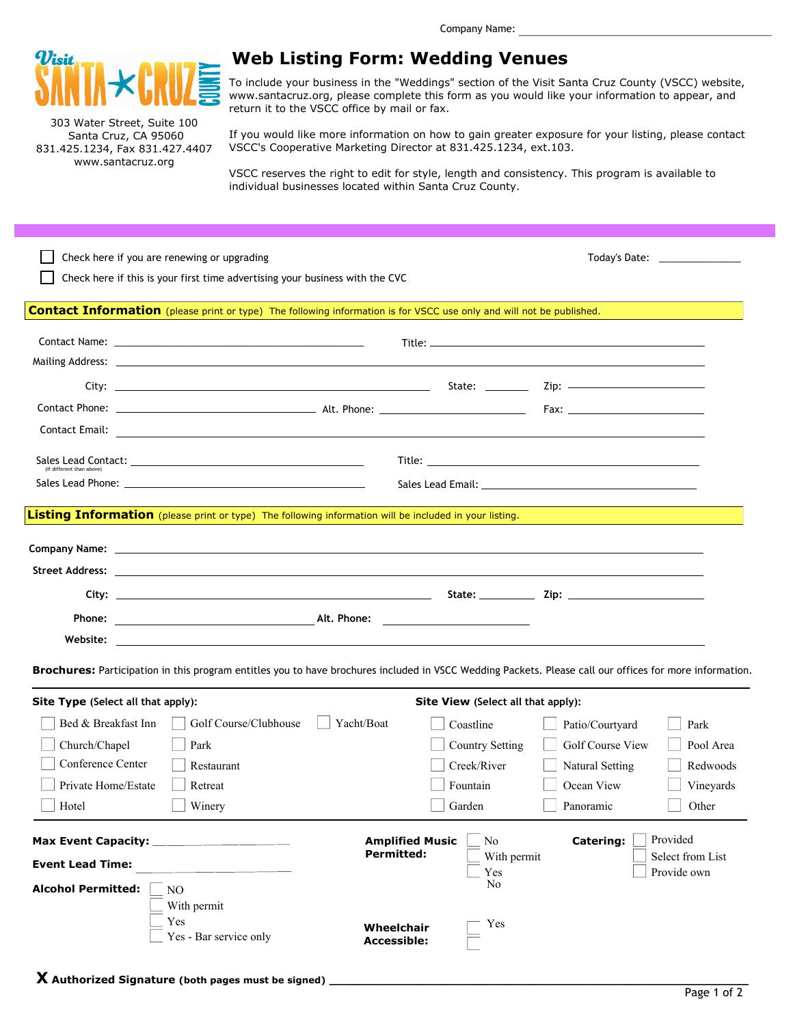

303 Water Street, Suite 100 Santa Cruz, CA 95060 831.425.1234, Fax 831.427.4407 www.santacruz.org

## **Web Listing Form: Wedding Venues**

To include your business in the "Weddings" section of the Visit Santa Cruz County (VSCC) website, www.santacruz.org, please complete this form as you would like your information to appear, and return it to the VSCC office by mail or fax.

If you would like more information on how to gain greater exposure for your listing, please contact VSCC's Cooperative Marketing Director at 831.425.1234, ext.103.

VSCC reserves the right to edit for style, length and consistency. This program is available to individual businesses located within Santa Cruz County.

| Check here if you are renewing or upgrading                                                                                                             |                                                                                                                      |                               |  |  |
|---------------------------------------------------------------------------------------------------------------------------------------------------------|----------------------------------------------------------------------------------------------------------------------|-------------------------------|--|--|
| Check here if this is your first time advertising your business with the CVC                                                                            |                                                                                                                      |                               |  |  |
|                                                                                                                                                         |                                                                                                                      |                               |  |  |
| Contact Information (please print or type) The following information is for VSCC use only and will not be published.                                    |                                                                                                                      |                               |  |  |
|                                                                                                                                                         |                                                                                                                      |                               |  |  |
|                                                                                                                                                         |                                                                                                                      |                               |  |  |
|                                                                                                                                                         |                                                                                                                      |                               |  |  |
|                                                                                                                                                         |                                                                                                                      |                               |  |  |
|                                                                                                                                                         |                                                                                                                      |                               |  |  |
| Contact Email:                                                                                                                                          | and the control of the control of the control of the control of the control of the control of the control of the     |                               |  |  |
| (If different than above)                                                                                                                               |                                                                                                                      |                               |  |  |
|                                                                                                                                                         |                                                                                                                      |                               |  |  |
|                                                                                                                                                         |                                                                                                                      |                               |  |  |
| Listing Information (please print or type) The following information will be included in your listing.                                                  |                                                                                                                      |                               |  |  |
|                                                                                                                                                         |                                                                                                                      |                               |  |  |
|                                                                                                                                                         |                                                                                                                      |                               |  |  |
|                                                                                                                                                         |                                                                                                                      |                               |  |  |
|                                                                                                                                                         |                                                                                                                      |                               |  |  |
| <b>Phone:</b> Alt. Phone: Alt. Phone:                                                                                                                   |                                                                                                                      |                               |  |  |
| Website:                                                                                                                                                | <u> 1989 - Andrea Santa Andrea Andrea Andrea Andrea Andrea Andrea Andrea Andrea Andrea Andrea Andrea Andrea Andr</u> |                               |  |  |
|                                                                                                                                                         |                                                                                                                      |                               |  |  |
| Brochures: Participation in this program entitles you to have brochures included in VSCC Wedding Packets. Please call our offices for more information. |                                                                                                                      |                               |  |  |
| Site Type (Select all that apply):                                                                                                                      | Site View (Select all that apply):                                                                                   |                               |  |  |
| Golf Course/Clubhouse<br>Bed & Breakfast Inn                                                                                                            | Yacht/Boat<br>Coastline                                                                                              | Patio/Courtyard<br>Park       |  |  |
| Church/Chapel<br>Park                                                                                                                                   | <b>Country Setting</b>                                                                                               | Golf Course View<br>Pool Area |  |  |
| Conference Center<br>Restaurant                                                                                                                         | Creek/River                                                                                                          | Redwoods<br>Natural Setting   |  |  |
| Private Home/Estate<br>Retreat                                                                                                                          | Fountain                                                                                                             | Ocean View<br>Vineyards       |  |  |
| Hotel<br>Winery                                                                                                                                         | Garden                                                                                                               | Other<br>Panoramic            |  |  |
|                                                                                                                                                         |                                                                                                                      |                               |  |  |
| Max Event Capacity:                                                                                                                                     | <b>Amplified Music</b><br>No                                                                                         | Provided<br><b>Catering:</b>  |  |  |
| <b>Event Lead Time:</b>                                                                                                                                 | <b>Permitted:</b><br>With permit                                                                                     | Select from List              |  |  |
|                                                                                                                                                         | Yes<br>No                                                                                                            | Provide own                   |  |  |
| <b>Alcohol Permitted:</b><br>NO                                                                                                                         |                                                                                                                      |                               |  |  |
| With permit<br>Yes                                                                                                                                      |                                                                                                                      |                               |  |  |
| Yes - Bar service only                                                                                                                                  | Yes<br>Wheelchair<br><b>Accessible:</b>                                                                              |                               |  |  |
|                                                                                                                                                         |                                                                                                                      |                               |  |  |